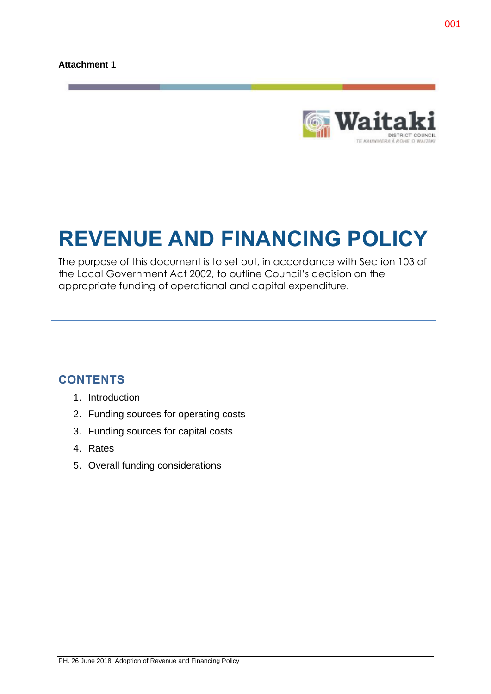

# **REVENUE AND FINANCING POLICY**

The purpose of this document is to set out, in accordance with Section 103 of the Local Government Act 2002, to outline Council's decision on the appropriate funding of operational and capital expenditure.

# **CONTENTS**

- 1. Introduction
- 2. Funding sources for operating costs
- 3. Funding sources for capital costs
- 4. Rates
- 5. Overall funding considerations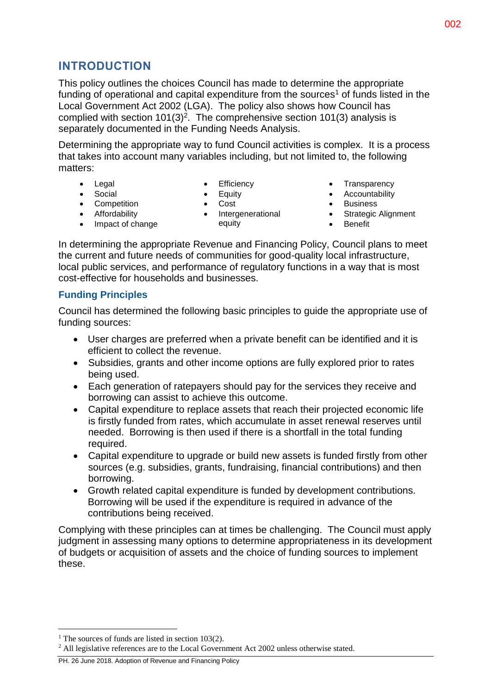# **INTRODUCTION**

This policy outlines the choices Council has made to determine the appropriate funding of operational and capital expenditure from the sources<sup>1</sup> of funds listed in the Local Government Act 2002 (LGA). The policy also shows how Council has complied with section  $101(3)^2$ . The comprehensive section 101(3) analysis is separately documented in the Funding Needs Analysis.

Determining the appropriate way to fund Council activities is complex. It is a process that takes into account many variables including, but not limited to, the following matters:

• Legal • Social

- Efficiency
- Equity
- 
- Intergenerational equity
- Transparency
- Accountability
- Business
- Strategic Alignment
	- Benefit

In determining the appropriate Revenue and Financing Policy, Council plans to meet the current and future needs of communities for good-quality local infrastructure, local public services, and performance of regulatory functions in a way that is most cost-effective for households and businesses.

## **Funding Principles**

Council has determined the following basic principles to guide the appropriate use of funding sources:

- User charges are preferred when a private benefit can be identified and it is efficient to collect the revenue.
- Subsidies, grants and other income options are fully explored prior to rates being used.
- Each generation of ratepayers should pay for the services they receive and borrowing can assist to achieve this outcome.
- Capital expenditure to replace assets that reach their projected economic life is firstly funded from rates, which accumulate in asset renewal reserves until needed. Borrowing is then used if there is a shortfall in the total funding required.
- Capital expenditure to upgrade or build new assets is funded firstly from other sources (e.g. subsidies, grants, fundraising, financial contributions) and then borrowing.
- Growth related capital expenditure is funded by development contributions. Borrowing will be used if the expenditure is required in advance of the contributions being received.

Complying with these principles can at times be challenging. The Council must apply judgment in assessing many options to determine appropriateness in its development of budgets or acquisition of assets and the choice of funding sources to implement these.

 $\overline{a}$ 

- Cost
- 
- Impact of change

• Competition **•** Affordability

- 
- 
- 

<sup>&</sup>lt;sup>1</sup> The sources of funds are listed in section  $103(2)$ .

<sup>&</sup>lt;sup>2</sup> All legislative references are to the Local Government Act 2002 unless otherwise stated.

PH. 26 June 2018. Adoption of Revenue and Financing Policy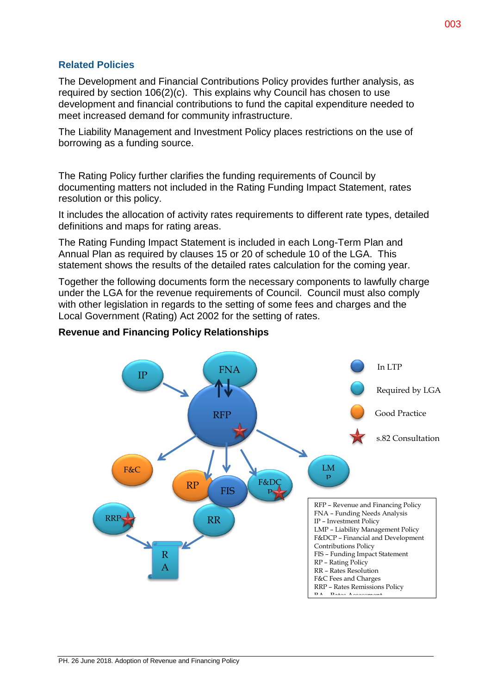## **Related Policies**

The Development and Financial Contributions Policy provides further analysis, as required by section 106(2)(c). This explains why Council has chosen to use development and financial contributions to fund the capital expenditure needed to meet increased demand for community infrastructure.

The Liability Management and Investment Policy places restrictions on the use of borrowing as a funding source.

The Rating Policy further clarifies the funding requirements of Council by documenting matters not included in the Rating Funding Impact Statement, rates resolution or this policy.

It includes the allocation of activity rates requirements to different rate types, detailed definitions and maps for rating areas.

The Rating Funding Impact Statement is included in each Long-Term Plan and Annual Plan as required by clauses 15 or 20 of schedule 10 of the LGA. This statement shows the results of the detailed rates calculation for the coming year.

Together the following documents form the necessary components to lawfully charge under the LGA for the revenue requirements of Council. Council must also comply with other legislation in regards to the setting of some fees and charges and the Local Government (Rating) Act 2002 for the setting of rates.

## **Revenue and Financing Policy Relationships**

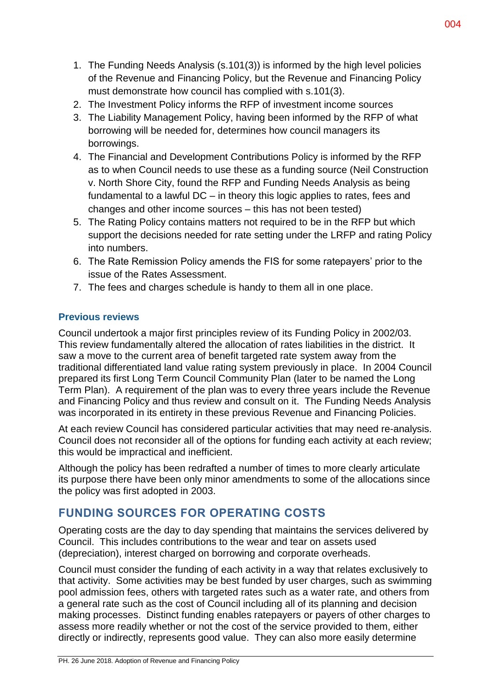- 1. The Funding Needs Analysis (s.101(3)) is informed by the high level policies of the Revenue and Financing Policy, but the Revenue and Financing Policy must demonstrate how council has complied with s.101(3).
- 2. The Investment Policy informs the RFP of investment income sources
- 3. The Liability Management Policy, having been informed by the RFP of what borrowing will be needed for, determines how council managers its borrowings.
- 4. The Financial and Development Contributions Policy is informed by the RFP as to when Council needs to use these as a funding source (Neil Construction v. North Shore City, found the RFP and Funding Needs Analysis as being fundamental to a lawful DC – in theory this logic applies to rates, fees and changes and other income sources – this has not been tested)
- 5. The Rating Policy contains matters not required to be in the RFP but which support the decisions needed for rate setting under the LRFP and rating Policy into numbers.
- 6. The Rate Remission Policy amends the FIS for some ratepayers' prior to the issue of the Rates Assessment.
- 7. The fees and charges schedule is handy to them all in one place.

# **Previous reviews**

Council undertook a major first principles review of its Funding Policy in 2002/03. This review fundamentally altered the allocation of rates liabilities in the district. It saw a move to the current area of benefit targeted rate system away from the traditional differentiated land value rating system previously in place. In 2004 Council prepared its first Long Term Council Community Plan (later to be named the Long Term Plan). A requirement of the plan was to every three years include the Revenue and Financing Policy and thus review and consult on it. The Funding Needs Analysis was incorporated in its entirety in these previous Revenue and Financing Policies.

At each review Council has considered particular activities that may need re-analysis. Council does not reconsider all of the options for funding each activity at each review; this would be impractical and inefficient.

Although the policy has been redrafted a number of times to more clearly articulate its purpose there have been only minor amendments to some of the allocations since the policy was first adopted in 2003.

# **FUNDING SOURCES FOR OPERATING COSTS**

Operating costs are the day to day spending that maintains the services delivered by Council. This includes contributions to the wear and tear on assets used (depreciation), interest charged on borrowing and corporate overheads.

Council must consider the funding of each activity in a way that relates exclusively to that activity. Some activities may be best funded by user charges, such as swimming pool admission fees, others with targeted rates such as a water rate, and others from a general rate such as the cost of Council including all of its planning and decision making processes. Distinct funding enables ratepayers or payers of other charges to assess more readily whether or not the cost of the service provided to them, either directly or indirectly, represents good value. They can also more easily determine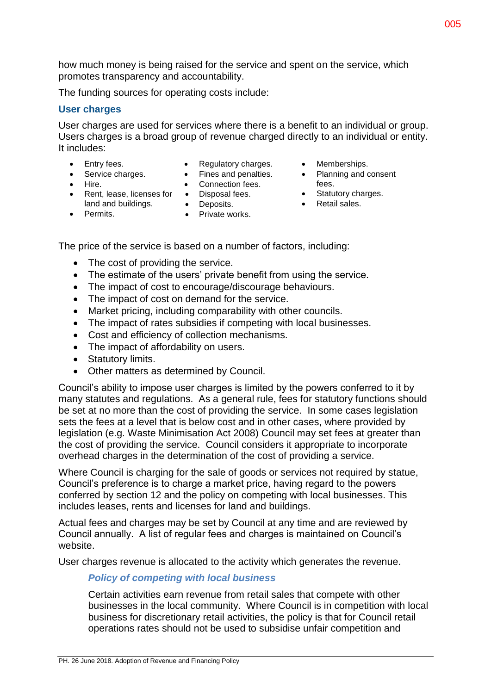how much money is being raised for the service and spent on the service, which promotes transparency and accountability.

The funding sources for operating costs include:

## **User charges**

User charges are used for services where there is a benefit to an individual or group. Users charges is a broad group of revenue charged directly to an individual or entity. It includes:

- Entry fees.
- Regulatory charges.
- Service charges.
- Fines and penalties.
- Hire.
- Connection fees. • Disposal fees.
- Rent, lease, licenses for land and buildings.
- Deposits.
- 
- Private works.
- Memberships.
- Planning and consent fees.
- Statutory charges.
- Retail sales.
- Permits.
- 
- The price of the service is based on a number of factors, including:
	- The cost of providing the service.
	- The estimate of the users' private benefit from using the service.
	- The impact of cost to encourage/discourage behaviours.
	- The impact of cost on demand for the service.
	- Market pricing, including comparability with other councils.
	- The impact of rates subsidies if competing with local businesses.
	- Cost and efficiency of collection mechanisms.
	- The impact of affordability on users.
	- Statutory limits.
	- Other matters as determined by Council.

Council's ability to impose user charges is limited by the powers conferred to it by many statutes and regulations. As a general rule, fees for statutory functions should be set at no more than the cost of providing the service. In some cases legislation sets the fees at a level that is below cost and in other cases, where provided by legislation (e.g. Waste Minimisation Act 2008) Council may set fees at greater than the cost of providing the service. Council considers it appropriate to incorporate overhead charges in the determination of the cost of providing a service.

Where Council is charging for the sale of goods or services not required by statue, Council's preference is to charge a market price, having regard to the powers conferred by section 12 and the policy on competing with local businesses. This includes leases, rents and licenses for land and buildings.

Actual fees and charges may be set by Council at any time and are reviewed by Council annually. A list of regular fees and charges is maintained on Council's website.

User charges revenue is allocated to the activity which generates the revenue.

## *Policy of competing with local business*

Certain activities earn revenue from retail sales that compete with other businesses in the local community. Where Council is in competition with local business for discretionary retail activities, the policy is that for Council retail operations rates should not be used to subsidise unfair competition and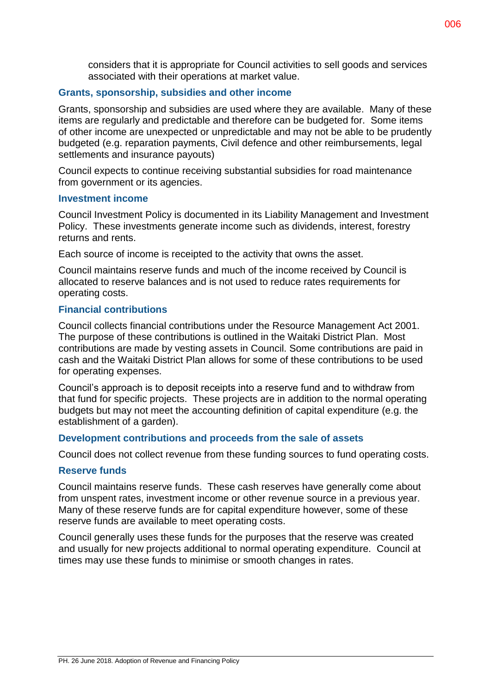considers that it is appropriate for Council activities to sell goods and services associated with their operations at market value.

## **Grants, sponsorship, subsidies and other income**

Grants, sponsorship and subsidies are used where they are available. Many of these items are regularly and predictable and therefore can be budgeted for. Some items of other income are unexpected or unpredictable and may not be able to be prudently budgeted (e.g. reparation payments, Civil defence and other reimbursements, legal settlements and insurance payouts)

Council expects to continue receiving substantial subsidies for road maintenance from government or its agencies.

#### **Investment income**

Council Investment Policy is documented in its Liability Management and Investment Policy. These investments generate income such as dividends, interest, forestry returns and rents.

Each source of income is receipted to the activity that owns the asset.

Council maintains reserve funds and much of the income received by Council is allocated to reserve balances and is not used to reduce rates requirements for operating costs.

## **Financial contributions**

Council collects financial contributions under the Resource Management Act 2001. The purpose of these contributions is outlined in the Waitaki District Plan. Most contributions are made by vesting assets in Council. Some contributions are paid in cash and the Waitaki District Plan allows for some of these contributions to be used for operating expenses.

Council's approach is to deposit receipts into a reserve fund and to withdraw from that fund for specific projects. These projects are in addition to the normal operating budgets but may not meet the accounting definition of capital expenditure (e.g. the establishment of a garden).

## **Development contributions and proceeds from the sale of assets**

Council does not collect revenue from these funding sources to fund operating costs.

## **Reserve funds**

Council maintains reserve funds. These cash reserves have generally come about from unspent rates, investment income or other revenue source in a previous year. Many of these reserve funds are for capital expenditure however, some of these reserve funds are available to meet operating costs.

Council generally uses these funds for the purposes that the reserve was created and usually for new projects additional to normal operating expenditure. Council at times may use these funds to minimise or smooth changes in rates.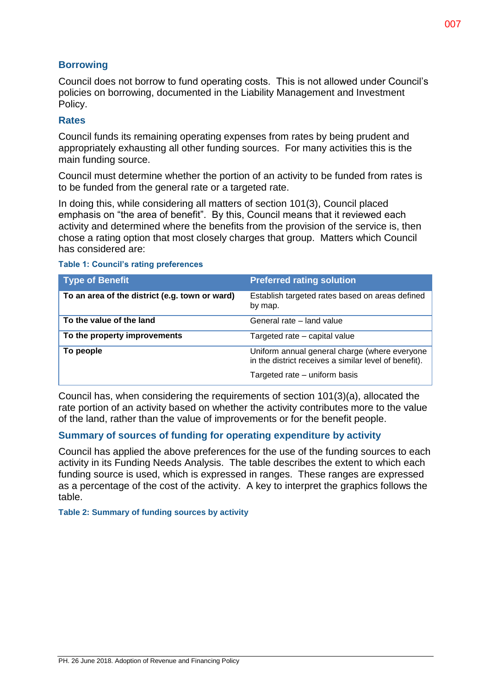## **Borrowing**

Council does not borrow to fund operating costs. This is not allowed under Council's policies on borrowing, documented in the Liability Management and Investment Policy.

## **Rates**

Council funds its remaining operating expenses from rates by being prudent and appropriately exhausting all other funding sources. For many activities this is the main funding source.

Council must determine whether the portion of an activity to be funded from rates is to be funded from the general rate or a targeted rate.

In doing this, while considering all matters of section 101(3), Council placed emphasis on "the area of benefit". By this, Council means that it reviewed each activity and determined where the benefits from the provision of the service is, then chose a rating option that most closely charges that group. Matters which Council has considered are:

| <b>Table 1: Council's rating preferences</b> |  |  |  |  |
|----------------------------------------------|--|--|--|--|
|----------------------------------------------|--|--|--|--|

| <b>Type of Benefit</b>                         | <b>Preferred rating solution</b>                                                                       |
|------------------------------------------------|--------------------------------------------------------------------------------------------------------|
| To an area of the district (e.g. town or ward) | Establish targeted rates based on areas defined<br>by map.                                             |
| To the value of the land                       | General rate - land value                                                                              |
| To the property improvements                   | Targeted rate – capital value                                                                          |
| To people                                      | Uniform annual general charge (where everyone<br>in the district receives a similar level of benefit). |
|                                                | Targeted rate – uniform basis                                                                          |

Council has, when considering the requirements of section 101(3)(a), allocated the rate portion of an activity based on whether the activity contributes more to the value of the land, rather than the value of improvements or for the benefit people.

## **Summary of sources of funding for operating expenditure by activity**

Council has applied the above preferences for the use of the funding sources to each activity in its Funding Needs Analysis. The table describes the extent to which each funding source is used, which is expressed in ranges. These ranges are expressed as a percentage of the cost of the activity. A key to interpret the graphics follows the table.

**Table 2: Summary of funding sources by activity**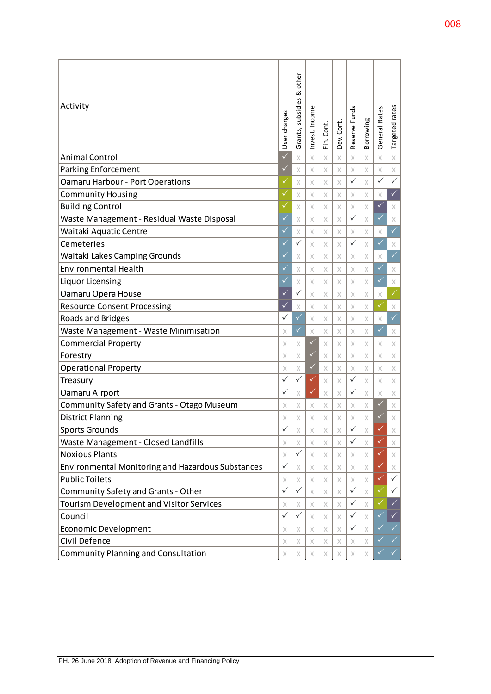| Activity                                                 |                         | other<br>ఱ<br>Grants, subsidies | Invest. Income | Fin. Cont. | Dev. Cont. | Reserve Funds      | Borrowing | General Rates | Targeted rates |
|----------------------------------------------------------|-------------------------|---------------------------------|----------------|------------|------------|--------------------|-----------|---------------|----------------|
| <b>Animal Control</b>                                    |                         | $\times$                        | X              | $\times$   | X          | X                  | X         | X             | X              |
| <b>Parking Enforcement</b>                               | ✓                       | $\times$                        | X              | $\times$   | X          | X                  | X         | X             | X              |
| <b>Oamaru Harbour - Port Operations</b>                  | ✓                       | $\times$                        | X              | $\times$   | X          | $\checkmark$       | X         | $\checkmark$  | $\checkmark$   |
| <b>Community Housing</b>                                 | ✓                       | X                               | X              | $\times$   | X          | X                  | X         | X             | $\checkmark$   |
| <b>Building Control</b>                                  | ✓                       | $\times$                        | X              | X          | X          | X                  | X         | $\checkmark$  | X              |
| Waste Management - Residual Waste Disposal               | $\checkmark$            | $\times$                        | X              | $\times$   | $\times$   | ✓                  | X         | $\checkmark$  | X              |
| Waitaki Aquatic Centre                                   | ✓                       | $\times$                        | X              | X          | X          | X                  | X         | X             | $\checkmark$   |
| Cemeteries                                               |                         | $\checkmark$                    | $\times$       | $\times$   | $\times$   | $\checkmark$       | X         | $\checkmark$  | X              |
| Waitaki Lakes Camping Grounds                            |                         | $\times$                        | X              | X          | X          | X                  | X         | X             | $\checkmark$   |
| <b>Environmental Health</b>                              |                         | $\times$                        | X              | X          | X          | X                  | X         | $\checkmark$  | X              |
| Liquor Licensing                                         |                         | $\times$                        | X              | X          | X          | X                  | X         | ✓             | X              |
| Oamaru Opera House                                       |                         | ✓                               | X              | X          | X          | X                  | X         | Х             | $\checkmark$   |
| <b>Resource Consent Processing</b>                       |                         | X                               | X              | X          | X          | X                  | X         | $\checkmark$  | X              |
| Roads and Bridges                                        |                         | $\checkmark$                    | X              | $\times$   | X          | X                  | X         | X             | $\checkmark$   |
| Waste Management - Waste Minimisation                    |                         | $\checkmark$                    | X              | X          | X          | X                  | X         | $\checkmark$  | X              |
| <b>Commercial Property</b>                               |                         | X                               | $\checkmark$   | $\times$   | X          | X                  | X         | X             | X              |
| Forestry                                                 |                         | Χ                               | ✓              | X          | X          | X                  | X         | X             | X              |
| <b>Operational Property</b>                              |                         | X                               | ✓              | X          | X          | X                  | X         | X             | X              |
| Treasury                                                 |                         | $\checkmark$                    | ✓              | X          | X          | $\checkmark$       | X         | X             | X              |
| Oamaru Airport                                           | ✓                       | X                               | ✓              | $\times$   | X          | ✓                  | X         | X             | X              |
| <b>Community Safety and Grants - Otago Museum</b>        | X                       | X                               | X              | X          | X          | X                  | х         | ✓             | X              |
| <b>District Planning</b>                                 | Χ<br>$\hat{\checkmark}$ | X                               | X              | X          | X          | X                  | Χ         | ✓             | X              |
| <b>Sports Grounds</b>                                    |                         | Χ                               | Χ              | Χ          | Χ          | $\hat{\checkmark}$ | Χ         | Ø             | Χ              |
| Waste Management - Closed Landfills                      | X                       | X                               | X              | X          | X          | $\checkmark$       | X         | ✓             | X              |
| <b>Noxious Plants</b>                                    |                         | $\checkmark$                    | Х              | X          | X          | X                  | X.        | ✓             | X              |
| <b>Environmental Monitoring and Hazardous Substances</b> |                         | X                               | X              | X          | X          | X                  | X         | ✓             | X              |
| <b>Public Toilets</b>                                    |                         | X                               | X              | X          | X          | Х                  | X         | ✓             | $\checkmark$   |
| Community Safety and Grants - Other                      |                         | ✓                               | X              | X          | X          | $\checkmark$       | X         | ✓             | $\checkmark$   |
| <b>Tourism Development and Visitor Services</b>          |                         | X                               | X              | X          | X          | $\checkmark$       | X         | ✓             | $\checkmark$   |
| Council                                                  |                         | ✓                               | X              | X          | X          | ✓                  | X         | $\checkmark$  | $\checkmark$   |
| <b>Economic Development</b>                              |                         | X                               | X              | X          | X          | $\checkmark$       | X         | $\checkmark$  | $\checkmark$   |
| Civil Defence                                            | Χ                       | Χ                               | X              | X          | X          | X                  | X         | $\checkmark$  | $\checkmark$   |
| <b>Community Planning and Consultation</b>               |                         | Χ                               | Χ              | Χ          | Χ          | Χ                  | Χ         | $\checkmark$  | $\checkmark$   |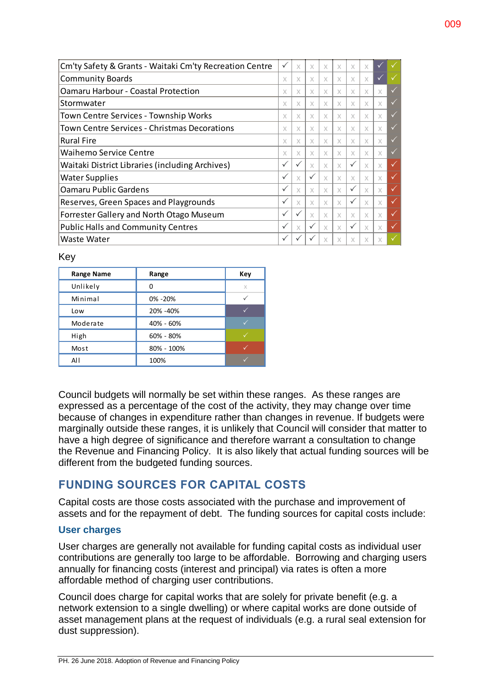| Cm'ty Safety & Grants - Waitaki Cm'ty Recreation Centre |              | X            | X            | X | X | X            | X        |              |              |
|---------------------------------------------------------|--------------|--------------|--------------|---|---|--------------|----------|--------------|--------------|
| <b>Community Boards</b>                                 |              | X            | X            | X | X | X            | X        | $\checkmark$ |              |
| <b>Oamaru Harbour - Coastal Protection</b>              | X            | X            | X            | X | X | X            | X        | X            | $\checkmark$ |
| Stormwater                                              |              | X            | X            | X | X | X            | X        | X            | $\checkmark$ |
| Town Centre Services - Township Works                   |              | X            | X            | X | X | X            | X        | X            | $\checkmark$ |
| Town Centre Services - Christmas Decorations            |              | X            | X            | X | X | X            | X        | X            | $\checkmark$ |
| <b>Rural Fire</b>                                       |              | X            | X            | X | X | X            | X        | X            | $\checkmark$ |
| <b>Waihemo Service Centre</b>                           |              | X            | X            | X | X | X            | X        | X            | $\checkmark$ |
| Waitaki District Libraries (including Archives)         |              | $\checkmark$ | X            | X | X | $\checkmark$ | X        | X            | ✓            |
| <b>Water Supplies</b>                                   | $\checkmark$ | $\times$     | $\checkmark$ | X | X | X            | X        | X            | ✓            |
| <b>Oamaru Public Gardens</b>                            |              | X            | $\times$     | X | X | $\checkmark$ | $\times$ | X            | ✓            |
| Reserves, Green Spaces and Playgrounds                  |              | X            | X            | X | X | $\checkmark$ | $\times$ | X            | $\checkmark$ |
| Forrester Gallery and North Otago Museum                |              | $\checkmark$ | $\times$     | X | X | X            | $\times$ | X            | $\checkmark$ |
| <b>Public Halls and Community Centres</b>               |              | X            | $\checkmark$ | X | X | ✓            | $\times$ | X            | $\checkmark$ |
| Waste Water                                             | $\checkmark$ |              |              |   | X | X            | X        | X            | $\checkmark$ |

Key

| <b>Range Name</b> | Range      | Key |
|-------------------|------------|-----|
| Unlikely          | ŋ          | X   |
| Minimal           | 0% -20%    |     |
| Low               | 20% -40%   |     |
| Moderate          | 40% - 60%  |     |
| High              | 60% - 80%  |     |
| Most              | 80% - 100% |     |
| All               | 100%       |     |

Council budgets will normally be set within these ranges. As these ranges are expressed as a percentage of the cost of the activity, they may change over time because of changes in expenditure rather than changes in revenue. If budgets were marginally outside these ranges, it is unlikely that Council will consider that matter to have a high degree of significance and therefore warrant a consultation to change the Revenue and Financing Policy. It is also likely that actual funding sources will be different from the budgeted funding sources.

# **FUNDING SOURCES FOR CAPITAL COSTS**

Capital costs are those costs associated with the purchase and improvement of assets and for the repayment of debt. The funding sources for capital costs include:

## **User charges**

User charges are generally not available for funding capital costs as individual user contributions are generally too large to be affordable. Borrowing and charging users annually for financing costs (interest and principal) via rates is often a more affordable method of charging user contributions.

Council does charge for capital works that are solely for private benefit (e.g. a network extension to a single dwelling) or where capital works are done outside of asset management plans at the request of individuals (e.g. a rural seal extension for dust suppression).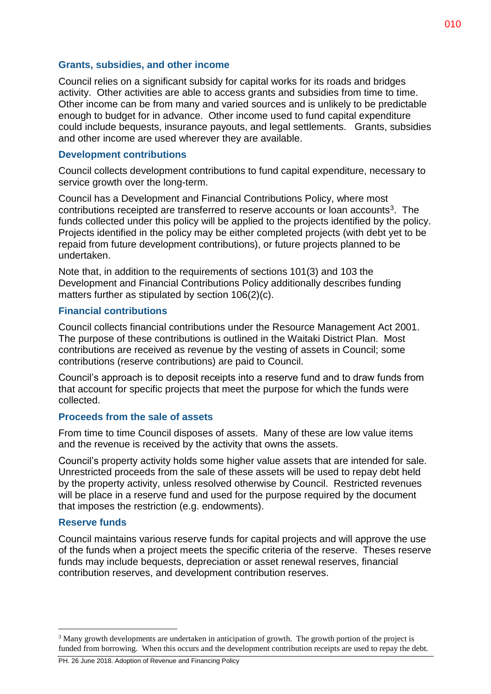## **Grants, subsidies, and other income**

Council relies on a significant subsidy for capital works for its roads and bridges activity. Other activities are able to access grants and subsidies from time to time. Other income can be from many and varied sources and is unlikely to be predictable enough to budget for in advance. Other income used to fund capital expenditure could include bequests, insurance payouts, and legal settlements. Grants, subsidies and other income are used wherever they are available.

#### **Development contributions**

Council collects development contributions to fund capital expenditure, necessary to service growth over the long-term.

Council has a Development and Financial Contributions Policy, where most contributions receipted are transferred to reserve accounts or loan accounts<sup>3</sup>. The funds collected under this policy will be applied to the projects identified by the policy. Projects identified in the policy may be either completed projects (with debt yet to be repaid from future development contributions), or future projects planned to be undertaken.

Note that, in addition to the requirements of sections 101(3) and 103 the Development and Financial Contributions Policy additionally describes funding matters further as stipulated by section 106(2)(c).

#### **Financial contributions**

Council collects financial contributions under the Resource Management Act 2001. The purpose of these contributions is outlined in the Waitaki District Plan. Most contributions are received as revenue by the vesting of assets in Council; some contributions (reserve contributions) are paid to Council.

Council's approach is to deposit receipts into a reserve fund and to draw funds from that account for specific projects that meet the purpose for which the funds were collected.

## **Proceeds from the sale of assets**

From time to time Council disposes of assets. Many of these are low value items and the revenue is received by the activity that owns the assets.

Council's property activity holds some higher value assets that are intended for sale. Unrestricted proceeds from the sale of these assets will be used to repay debt held by the property activity, unless resolved otherwise by Council. Restricted revenues will be place in a reserve fund and used for the purpose required by the document that imposes the restriction (e.g. endowments).

#### **Reserve funds**

 $\overline{a}$ 

Council maintains various reserve funds for capital projects and will approve the use of the funds when a project meets the specific criteria of the reserve. Theses reserve funds may include bequests, depreciation or asset renewal reserves, financial contribution reserves, and development contribution reserves.

<sup>&</sup>lt;sup>3</sup> Many growth developments are undertaken in anticipation of growth. The growth portion of the project is funded from borrowing. When this occurs and the development contribution receipts are used to repay the debt.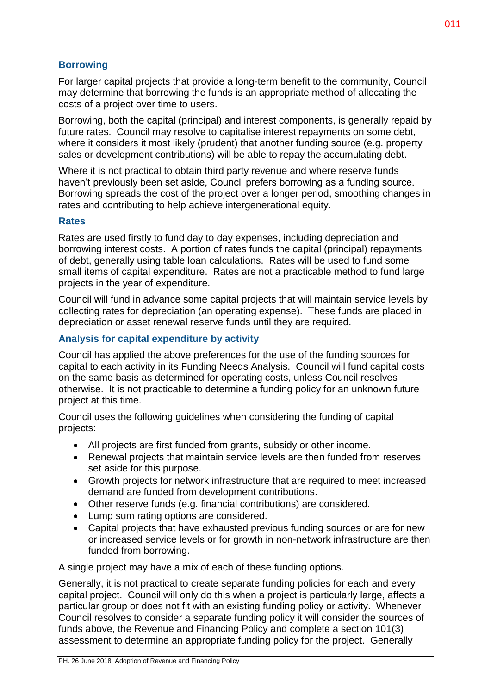# **Borrowing**

For larger capital projects that provide a long-term benefit to the community, Council may determine that borrowing the funds is an appropriate method of allocating the costs of a project over time to users.

Borrowing, both the capital (principal) and interest components, is generally repaid by future rates. Council may resolve to capitalise interest repayments on some debt, where it considers it most likely (prudent) that another funding source (e.g. property sales or development contributions) will be able to repay the accumulating debt.

Where it is not practical to obtain third party revenue and where reserve funds haven't previously been set aside, Council prefers borrowing as a funding source. Borrowing spreads the cost of the project over a longer period, smoothing changes in rates and contributing to help achieve intergenerational equity.

## **Rates**

Rates are used firstly to fund day to day expenses, including depreciation and borrowing interest costs. A portion of rates funds the capital (principal) repayments of debt, generally using table loan calculations. Rates will be used to fund some small items of capital expenditure. Rates are not a practicable method to fund large projects in the year of expenditure.

Council will fund in advance some capital projects that will maintain service levels by collecting rates for depreciation (an operating expense). These funds are placed in depreciation or asset renewal reserve funds until they are required.

# **Analysis for capital expenditure by activity**

Council has applied the above preferences for the use of the funding sources for capital to each activity in its Funding Needs Analysis. Council will fund capital costs on the same basis as determined for operating costs, unless Council resolves otherwise. It is not practicable to determine a funding policy for an unknown future project at this time.

Council uses the following guidelines when considering the funding of capital projects:

- All projects are first funded from grants, subsidy or other income.
- Renewal projects that maintain service levels are then funded from reserves set aside for this purpose.
- Growth projects for network infrastructure that are required to meet increased demand are funded from development contributions.
- Other reserve funds (e.g. financial contributions) are considered.
- Lump sum rating options are considered.
- Capital projects that have exhausted previous funding sources or are for new or increased service levels or for growth in non-network infrastructure are then funded from borrowing.

A single project may have a mix of each of these funding options.

Generally, it is not practical to create separate funding policies for each and every capital project. Council will only do this when a project is particularly large, affects a particular group or does not fit with an existing funding policy or activity. Whenever Council resolves to consider a separate funding policy it will consider the sources of funds above, the Revenue and Financing Policy and complete a section 101(3) assessment to determine an appropriate funding policy for the project. Generally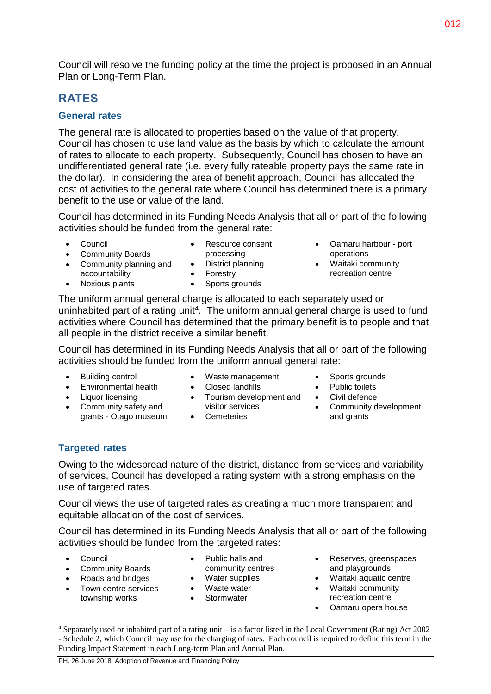Council will resolve the funding policy at the time the project is proposed in an Annual Plan or Long-Term Plan.

# **RATES**

# **General rates**

The general rate is allocated to properties based on the value of that property. Council has chosen to use land value as the basis by which to calculate the amount of rates to allocate to each property. Subsequently, Council has chosen to have an undifferentiated general rate (i.e. every fully rateable property pays the same rate in the dollar). In considering the area of benefit approach, Council has allocated the cost of activities to the general rate where Council has determined there is a primary benefit to the use or value of the land.

Council has determined in its Funding Needs Analysis that all or part of the following activities should be funded from the general rate:

District planning

Council

- Resource consent processing
- Community Boards • Community planning and accountability
- Forestry • Sports grounds
- Oamaru harbour port operations
- Waitaki community recreation centre

The uniform annual general charge is allocated to each separately used or uninhabited part of a rating unit<sup>4</sup>. The uniform annual general charge is used to fund activities where Council has determined that the primary benefit is to people and that all people in the district receive a similar benefit.

Council has determined in its Funding Needs Analysis that all or part of the following activities should be funded from the uniform annual general rate:

Building control

• Noxious plants

- Environmental health
- Liquor licensing
- Community safety and grants - Otago museum
- Waste management
- Closed landfills
- Tourism development and Civil defence visitor services
- Cemeteries
- Sports grounds
- Public toilets
- 
- Community development and grants

# **Targeted rates**

Owing to the widespread nature of the district, distance from services and variability of services, Council has developed a rating system with a strong emphasis on the use of targeted rates.

Council views the use of targeted rates as creating a much more transparent and equitable allocation of the cost of services.

Council has determined in its Funding Needs Analysis that all or part of the following activities should be funded from the targeted rates:

Council

 $\overline{a}$ 

- Community Boards
- Roads and bridges
- Town centre services township works
- Public halls and community centres
- Water supplies
- Waste water
- Stormwater
- Reserves, greenspaces and playgrounds
- Waitaki aquatic centre
- Waitaki community recreation centre
- Oamaru opera house

<sup>4</sup> Separately used or inhabited part of a rating unit – is a factor listed in the Local Government (Rating) Act 2002 - Schedule 2, which Council may use for the charging of rates. Each council is required to define this term in the Funding Impact Statement in each Long-term Plan and Annual Plan.

PH. 26 June 2018. Adoption of Revenue and Financing Policy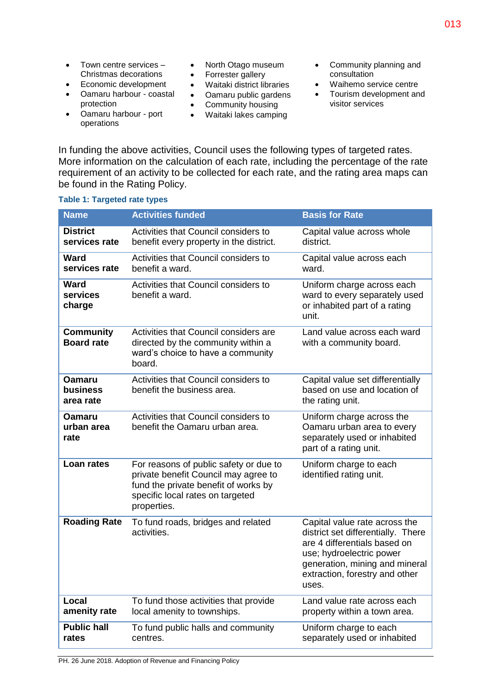- Town centre services -Christmas decorations
- Economic development
- Oamaru harbour coastal protection
- North Otago museum
- Forrester gallery
- Waitaki district libraries
- Oamaru public gardens
- **•** Community housing
- Waitaki lakes camping
- Community planning and consultation
- Waihemo service centre
- Tourism development and visitor services
- Oamaru harbour port operations
- In funding the above activities, Council uses the following types of targeted rates. More information on the calculation of each rate, including the percentage of the rate requirement of an activity to be collected for each rate, and the rating area maps can be found in the Rating Policy.

| <b>Name</b>                            | <b>Activities funded</b>                                                                                                                                                  | <b>Basis for Rate</b>                                                                                                                                                                                        |
|----------------------------------------|---------------------------------------------------------------------------------------------------------------------------------------------------------------------------|--------------------------------------------------------------------------------------------------------------------------------------------------------------------------------------------------------------|
| <b>District</b><br>services rate       | Activities that Council considers to<br>benefit every property in the district.                                                                                           | Capital value across whole<br>district.                                                                                                                                                                      |
| <b>Ward</b><br>services rate           | Activities that Council considers to<br>benefit a ward.                                                                                                                   | Capital value across each<br>ward.                                                                                                                                                                           |
| <b>Ward</b><br>services<br>charge      | Activities that Council considers to<br>benefit a ward.                                                                                                                   | Uniform charge across each<br>ward to every separately used<br>or inhabited part of a rating<br>unit.                                                                                                        |
| <b>Community</b><br><b>Board rate</b>  | Activities that Council considers are<br>directed by the community within a<br>ward's choice to have a community<br>board.                                                | Land value across each ward<br>with a community board.                                                                                                                                                       |
| <b>Oamaru</b><br>business<br>area rate | Activities that Council considers to<br>benefit the business area.                                                                                                        | Capital value set differentially<br>based on use and location of<br>the rating unit.                                                                                                                         |
| <b>Oamaru</b><br>urban area<br>rate    | Activities that Council considers to<br>benefit the Oamaru urban area.                                                                                                    | Uniform charge across the<br>Oamaru urban area to every<br>separately used or inhabited<br>part of a rating unit.                                                                                            |
| Loan rates                             | For reasons of public safety or due to<br>private benefit Council may agree to<br>fund the private benefit of works by<br>specific local rates on targeted<br>properties. | Uniform charge to each<br>identified rating unit.                                                                                                                                                            |
| <b>Roading Rate</b>                    | To fund roads, bridges and related<br>activities.                                                                                                                         | Capital value rate across the<br>district set differentially. There<br>are 4 differentials based on<br>use; hydroelectric power<br>generation, mining and mineral<br>extraction, forestry and other<br>uses. |
| Local<br>amenity rate                  | To fund those activities that provide<br>local amenity to townships.                                                                                                      | Land value rate across each<br>property within a town area.                                                                                                                                                  |
| <b>Public hall</b><br>rates            | To fund public halls and community<br>centres.                                                                                                                            | Uniform charge to each<br>separately used or inhabited                                                                                                                                                       |

#### **Table 1: Targeted rate types**

PH. 26 June 2018. Adoption of Revenue and Financing Policy